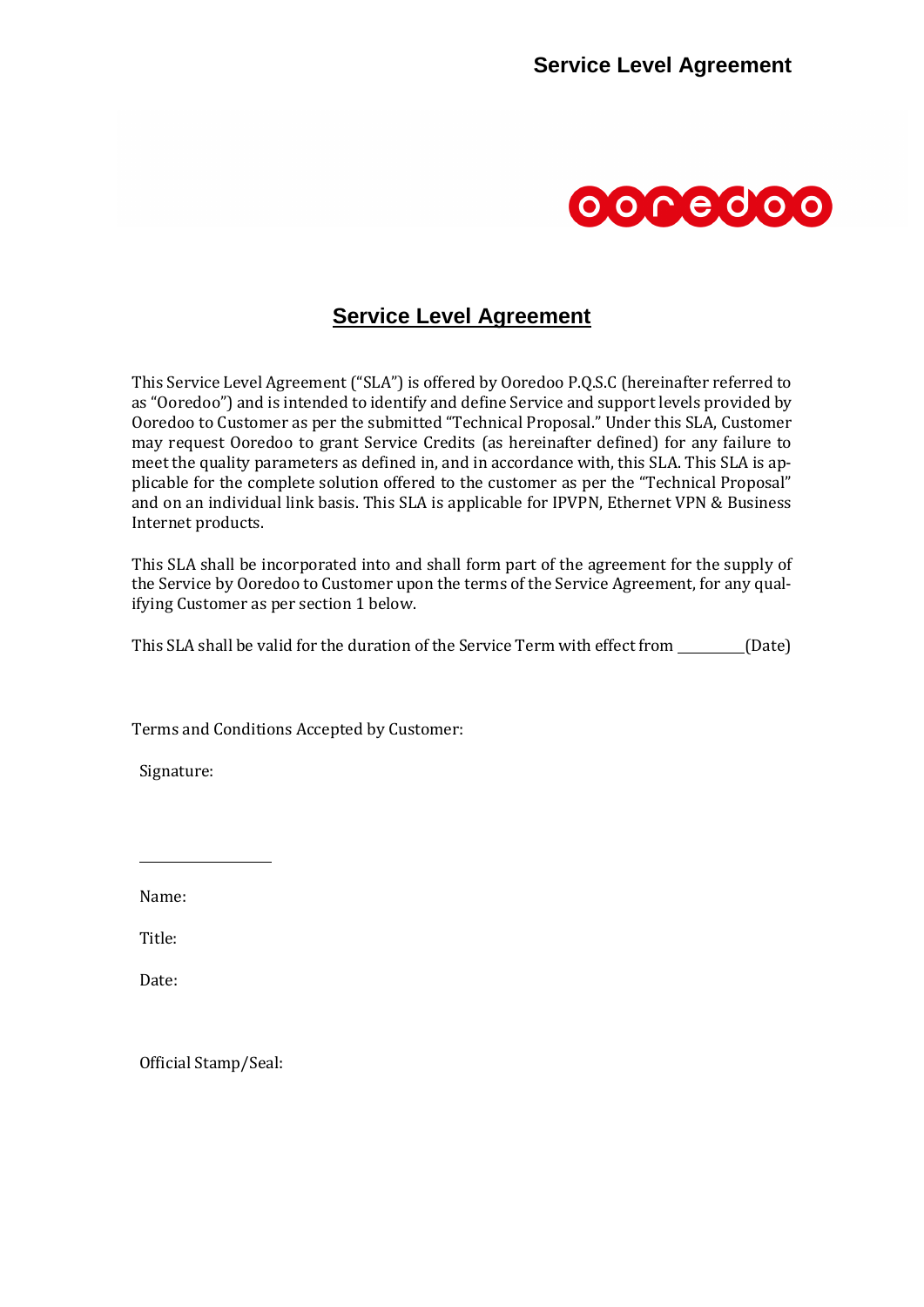

# **Service Level Agreement**

This Service Level Agreement ("SLA") is offered by Ooredoo P.Q.S.C (hereinafter referred to as "Ooredoo") and is intended to identify and define Service and support levels provided by Ooredoo to Customer as per the submitted "Technical Proposal." Under this SLA, Customer may request Ooredoo to grant Service Credits (as hereinafter defined) for any failure to meet the quality parameters as defined in, and in accordance with, this SLA. This SLA is applicable for the complete solution offered to the customer as per the "Technical Proposal" and on an individual link basis. This SLA is applicable for IPVPN, Ethernet VPN & Business Internet products.

This SLA shall be incorporated into and shall form part of the agreement for the supply of the Service by Ooredoo to Customer upon the terms of the Service Agreement, for any qualifying Customer as per section 1 below.

This SLA shall be valid for the duration of the Service Term with effect from \_\_\_\_\_\_\_\_\_ (Date)

Terms and Conditions Accepted by Customer:

Signature:

Name:

Title:

Date:

Official Stamp/Seal: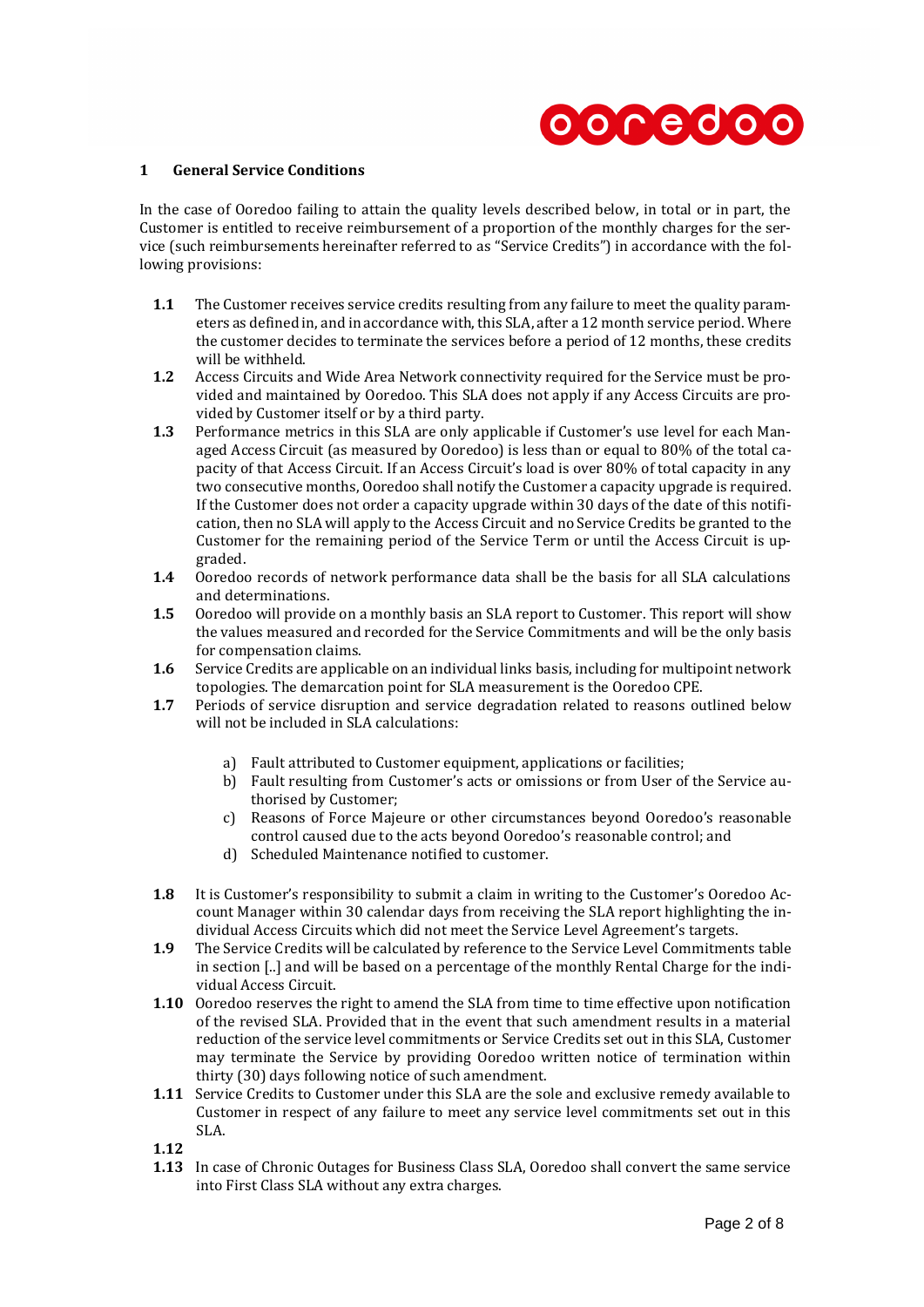

### **1 General Service Conditions**

In the case of Ooredoo failing to attain the quality levels described below, in total or in part, the Customer is entitled to receive reimbursement of a proportion of the monthly charges for the service (such reimbursements hereinafter referred to as "Service Credits") in accordance with the following provisions:

- **1.1** The Customer receives service credits resulting from any failure to meet the quality parameters as defined in, and in accordance with, this SLA, after a 12 month service period. Where the customer decides to terminate the services before a period of 12 months, these credits will be withheld.
- **1.2** Access Circuits and Wide Area Network connectivity required for the Service must be provided and maintained by Ooredoo. This SLA does not apply if any Access Circuits are provided by Customer itself or by a third party.
- **1.3** Performance metrics in this SLA are only applicable if Customer's use level for each Managed Access Circuit (as measured by Ooredoo) is less than or equal to 80% of the total capacity of that Access Circuit. If an Access Circuit's load is over 80% of total capacity in any two consecutive months, Ooredoo shall notify the Customer a capacity upgrade is required. If the Customer does not order a capacity upgrade within 30 days of the date of this notification, then no SLA will apply to the Access Circuit and no Service Credits be granted to the Customer for the remaining period of the Service Term or until the Access Circuit is upgraded.
- **1.4** Ooredoo records of network performance data shall be the basis for all SLA calculations and determinations.
- **1.5** Ooredoo will provide on a monthly basis an SLA report to Customer. This report will show the values measured and recorded for the Service Commitments and will be the only basis for compensation claims.
- **1.6** Service Credits are applicable on an individual links basis, including for multipoint network topologies. The demarcation point for SLA measurement is the Ooredoo CPE.
- <span id="page-1-0"></span>**1.7** Periods of service disruption and service degradation related to reasons outlined below will not be included in SLA calculations:
	- a) Fault attributed to Customer equipment, applications or facilities;
	- b) Fault resulting from Customer's acts or omissions or from User of the Service authorised by Customer;
	- c) Reasons of Force Majeure or other circumstances beyond Ooredoo's reasonable control caused due to the acts beyond Ooredoo's reasonable control; and
	- d) Scheduled Maintenance notified to customer.
- **1.8** It is Customer's responsibility to submit a claim in writing to the Customer's Ooredoo Account Manager within 30 calendar days from receiving the SLA report highlighting the individual Access Circuits which did not meet the Service Level Agreement's targets.
- **1.9** The Service Credits will be calculated by reference to the Service Level Commitments table in section [..] and will be based on a percentage of the monthly Rental Charge for the individual Access Circuit.
- **1.10** Ooredoo reserves the right to amend the SLA from time to time effective upon notification of the revised SLA. Provided that in the event that such amendment results in a material reduction of the service level commitments or Service Credits set out in this SLA, Customer may terminate the Service by providing Ooredoo written notice of termination within thirty (30) days following notice of such amendment.
- **1.11** Service Credits to Customer under this SLA are the sole and exclusive remedy available to Customer in respect of any failure to meet any service level commitments set out in this SLA.

**1.12**

**1.13** In case of Chronic Outages for Business Class SLA, Ooredoo shall convert the same service into First Class SLA without any extra charges.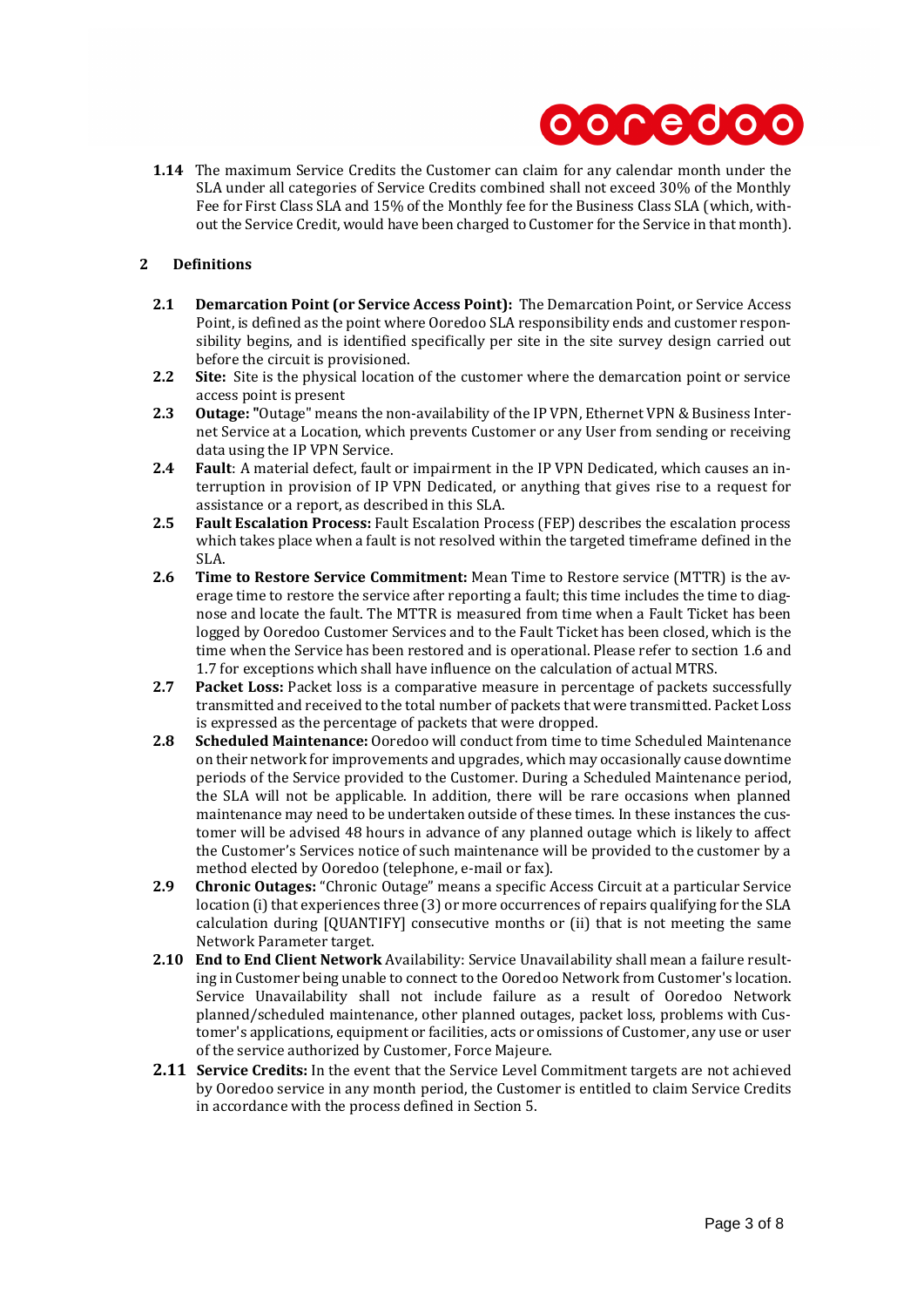

**1.14** The maximum Service Credits the Customer can claim for any calendar month under the SLA under all categories of Service Credits combined shall not exceed 30% of the Monthly Fee for First Class SLA and 15% of the Monthly fee for the Business Class SLA (which, without the Service Credit, would have been charged to Customer for the Service in that month).

### **2 Definitions**

- **2.1 Demarcation Point (or Service Access Point):** The Demarcation Point, or Service Access Point, is defined as the point where Ooredoo SLA responsibility ends and customer responsibility begins, and is identified specifically per site in the site survey design carried out before the circuit is provisioned.
- 2.2 Site: Site is the physical location of the customer where the demarcation point or service access point is present
- **2.3 Outage: "**Outage" means the non-availability of the IP VPN, Ethernet VPN & Business Internet Service at a Location, which prevents Customer or any User from sending or receiving data using the IP VPN Service.
- **2.4 Fault**: A material defect, fault or impairment in the IP VPN Dedicated, which causes an interruption in provision of IP VPN Dedicated, or anything that gives rise to a request for assistance or a report, as described in this SLA.
- **2.5 Fault Escalation Process:** Fault Escalation Process (FEP) describes the escalation process which takes place when a fault is not resolved within the targeted timeframe defined in the SLA.
- **2.6 Time to Restore Service Commitment:** Mean Time to Restore service (MTTR) is the average time to restore the service after reporting a fault; this time includes the time to diagnose and locate the fault. The MTTR is measured from time when a Fault Ticket has been logged by Ooredoo Customer Services and to the Fault Ticket has been closed, which is the time when the Service has been restored and is operational. Please refer to section 1.6 and [1.7](#page-1-0) for exceptions which shall have influence on the calculation of actual MTRS.
- **2.7 Packet Loss:** Packet loss is a comparative measure in percentage of packets successfully transmitted and received to the total number of packets that were transmitted. Packet Loss is expressed as the percentage of packets that were dropped.
- **2.8 Scheduled Maintenance:** Ooredoo will conduct from time to time Scheduled Maintenance on their network for improvements and upgrades, which may occasionally cause downtime periods of the Service provided to the Customer. During a Scheduled Maintenance period, the SLA will not be applicable. In addition, there will be rare occasions when planned maintenance may need to be undertaken outside of these times. In these instances the customer will be advised 48 hours in advance of any planned outage which is likely to affect the Customer's Services notice of such maintenance will be provided to the customer by a method elected by Ooredoo (telephone, e-mail or fax).
- **2.9 Chronic Outages:** "Chronic Outage" means a specific Access Circuit at a particular Service location (i) that experiences three (3) or more occurrences of repairs qualifying for the SLA calculation during [QUANTIFY] consecutive months or (ii) that is not meeting the same Network Parameter target.
- **2.10 End to End Client Network** Availability: Service Unavailability shall mean a failure resulting in Customer being unable to connect to the Ooredoo Network from Customer's location. Service Unavailability shall not include failure as a result of Ooredoo Network planned/scheduled maintenance, other planned outages, packet loss, problems with Customer's applications, equipment or facilities, acts or omissions of Customer, any use or user of the service authorized by Customer, Force Majeure.
- **2.11 Service Credits:** In the event that the Service Level Commitment targets are not achieved by Ooredoo service in any month period, the Customer is entitled to claim Service Credits in accordance with the process defined in Section 5.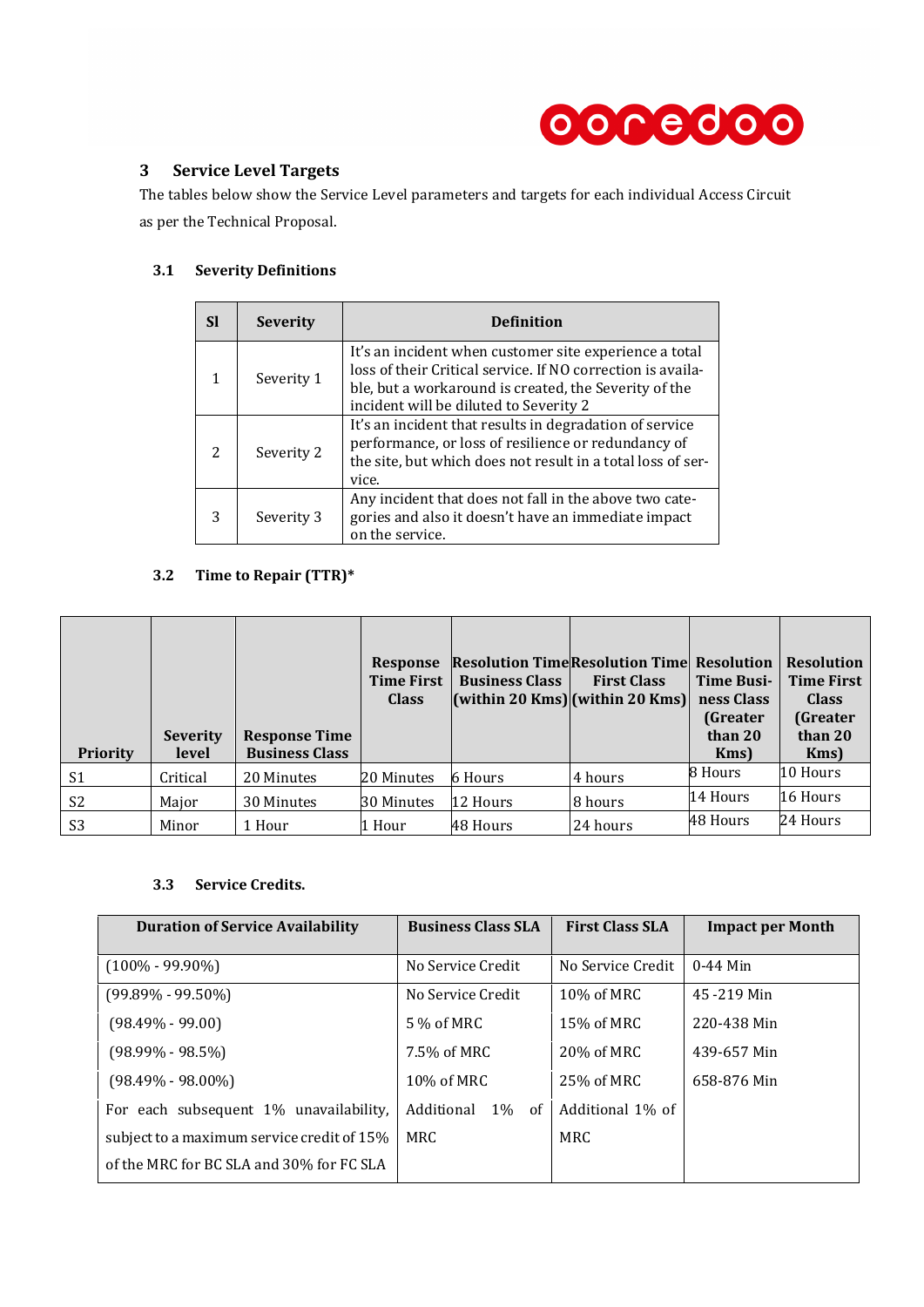

## **3 Service Level Targets**

The tables below show the Service Level parameters and targets for each individual Access Circuit as per the Technical Proposal.

### **3.1 Severity Definitions**

| Sl            | <b>Severity</b> | <b>Definition</b>                                                                                                                                                                                                        |
|---------------|-----------------|--------------------------------------------------------------------------------------------------------------------------------------------------------------------------------------------------------------------------|
|               | Severity 1      | It's an incident when customer site experience a total<br>loss of their Critical service. If NO correction is availa-<br>ble, but a workaround is created, the Severity of the<br>incident will be diluted to Severity 2 |
| $\mathcal{P}$ | Severity 2      | It's an incident that results in degradation of service<br>performance, or loss of resilience or redundancy of<br>the site, but which does not result in a total loss of ser-<br>vice.                                   |
| 3             | Severity 3      | Any incident that does not fall in the above two cate-<br>gories and also it doesn't have an immediate impact<br>on the service.                                                                                         |

# **3.2 Time to Repair (TTR)\***

| <b>Priority</b> | <b>Severity</b><br>level | <b>Response Time</b><br><b>Business Class</b> | <b>Response</b><br><b>Time First</b><br><b>Class</b> | <b>Resolution TimeResolution Time Resolution</b><br><b>Business Class</b><br>$\vert$ (within 20 Kms) $\vert$ (within 20 Kms) $\vert$ | <b>First Class</b> | <b>Time Busi-</b><br>ness Class<br><b>(Greater)</b><br>than 20<br>Kms) | <b>Resolution</b><br><b>Time First</b><br><b>Class</b><br>(Greater<br>than 20<br>Kms) |
|-----------------|--------------------------|-----------------------------------------------|------------------------------------------------------|--------------------------------------------------------------------------------------------------------------------------------------|--------------------|------------------------------------------------------------------------|---------------------------------------------------------------------------------------|
| S1              | Critical                 | 20 Minutes                                    | 20 Minutes                                           | 6 Hours                                                                                                                              | 4 hours            | 8 Hours                                                                | 10 Hours                                                                              |
| S <sub>2</sub>  | Major                    | 30 Minutes                                    | 30 Minutes                                           | 12 Hours                                                                                                                             | 8 hours            | 14 Hours                                                               | 16 Hours                                                                              |
| S <sub>3</sub>  | Minor                    | 1 Hour                                        | 1 Hour                                               | 48 Hours                                                                                                                             | 24 hours           | 48 Hours                                                               | 24 Hours                                                                              |

### **3.3 Service Credits.**

| <b>Duration of Service Availability</b>    | <b>Business Class SLA</b> | <b>First Class SLA</b> | <b>Impact per Month</b> |  |
|--------------------------------------------|---------------------------|------------------------|-------------------------|--|
| $(100\% - 99.90\%)$                        | No Service Credit         | No Service Credit      | $0-44$ Min              |  |
| $(99.89\% - 99.50\%)$                      | No Service Credit         | 10% of MRC             | 45-219 Min              |  |
| (98.49% - 99.00)                           | 5 % of MRC                | 15% of MRC             | 220-438 Min             |  |
| (98.99% - 98.5%)                           | 7.5% of MRC               | 20% of MRC             | 439-657 Min             |  |
| (98.49% - 98.00%)                          | 10% of MRC                | 25% of MRC             | 658-876 Min             |  |
| For each subsequent 1\% unavailability.    | Additional<br>$1\%$<br>0f | Additional 1% of       |                         |  |
| subject to a maximum service credit of 15% | MRC.                      | MRC                    |                         |  |
| of the MRC for BC SLA and 30% for FC SLA   |                           |                        |                         |  |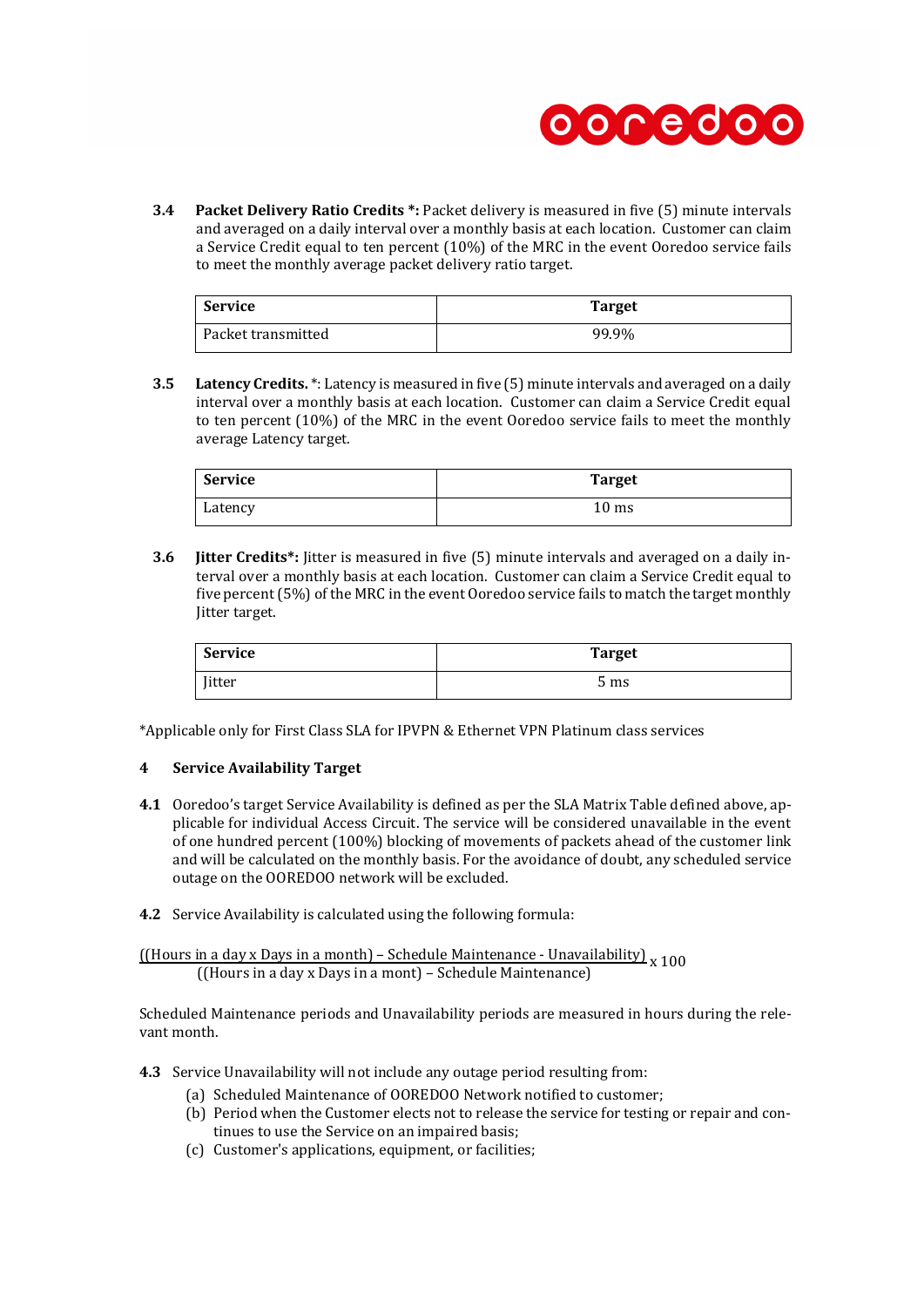

**3.4 Packet Delivery Ratio Credits \*:** Packet delivery is measured in five (5) minute intervals and averaged on a daily interval over a monthly basis at each location. Customer can claim a Service Credit equal to ten percent (10%) of the MRC in the event Ooredoo service fails to meet the monthly average packet delivery ratio target.

| Service            | <b>Target</b> |
|--------------------|---------------|
| Packet transmitted | 99.9%         |

**3.5 Latency Credits.** \*: Latency is measured in five (5) minute intervals and averaged on a daily interval over a monthly basis at each location. Customer can claim a Service Credit equal to ten percent (10%) of the MRC in the event Ooredoo service fails to meet the monthly average Latency target.

| Service | <b>Target</b>   |
|---------|-----------------|
| Latency | $10 \text{ ms}$ |

**3.6 Jitter Credits\*:** Jitter is measured in five (5) minute intervals and averaged on a daily interval over a monthly basis at each location. Customer can claim a Service Credit equal to five percent (5%) of the MRC in the event Ooredoo service fails to match the target monthly Jitter target.

| <b>Service</b> | <b>Target</b> |
|----------------|---------------|
| Jitter         | 5 ms          |

\*Applicable only for First Class SLA for IPVPN & Ethernet VPN Platinum class services

### **4 Service Availability Target**

- **4.1** Ooredoo's target Service Availability is defined as per the SLA Matrix Table defined above, applicable for individual Access Circuit. The service will be considered unavailable in the event of one hundred percent (100%) blocking of movements of packets ahead of the customer link and will be calculated on the monthly basis. For the avoidance of doubt, any scheduled service outage on the OOREDOO network will be excluded.
- **4.2** Service Availability is calculated using the following formula:

 $\underbrace{[Hours in a day x \, Days in a month] - Schedule Maintenance - Unavailability]}$ <br>
x 100 ((Hours in a day x Days in a mont) – Schedule Maintenance)

Scheduled Maintenance periods and Unavailability periods are measured in hours during the relevant month.

**4.3** Service Unavailability will not include any outage period resulting from:

- (a) Scheduled Maintenance of OOREDOO Network notified to customer;
- (b) Period when the Customer elects not to release the service for testing or repair and continues to use the Service on an impaired basis;
- (c) Customer's applications, equipment, or facilities;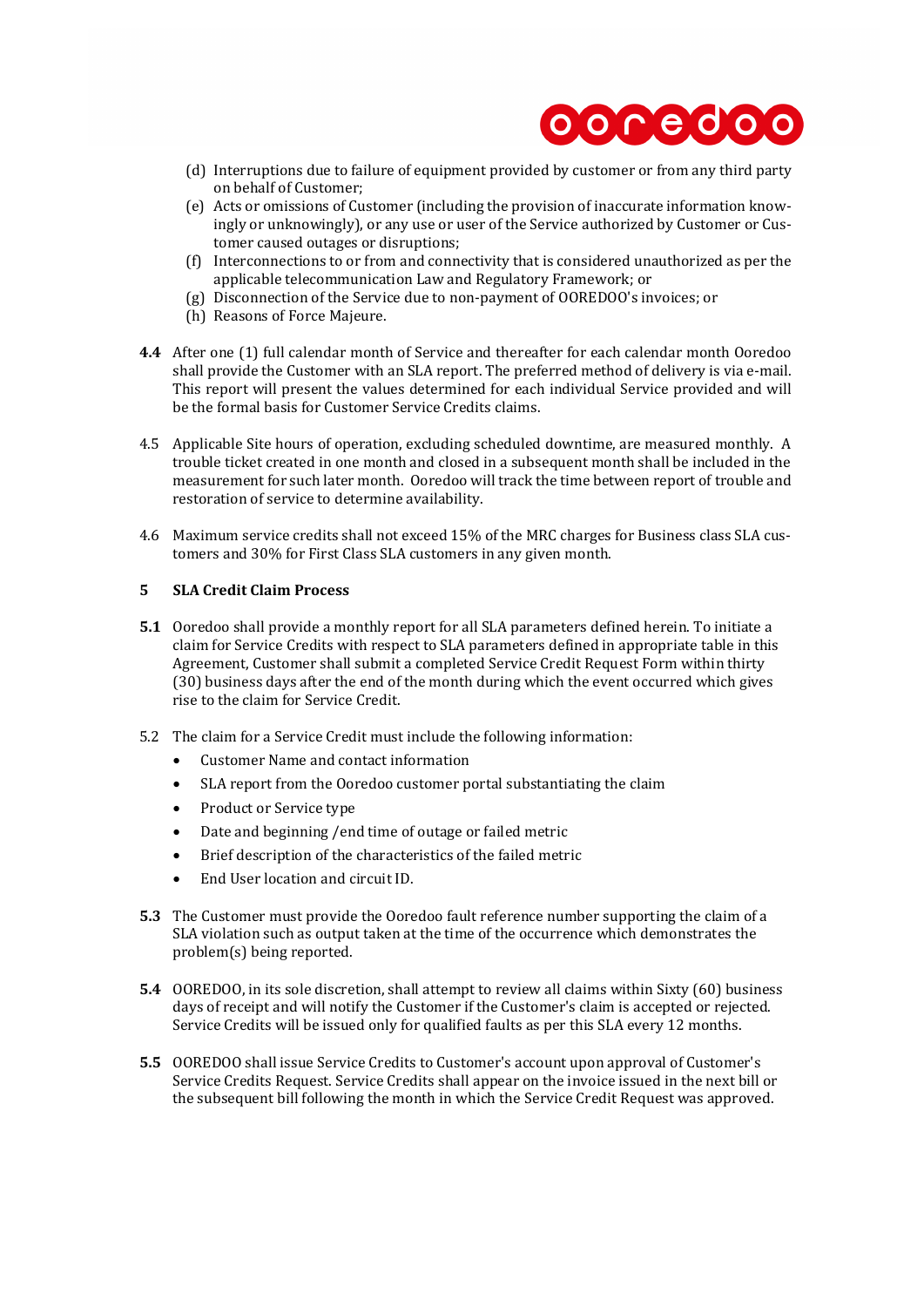

- (d) Interruptions due to failure of equipment provided by customer or from any third party on behalf of Customer;
- (e) Acts or omissions of Customer (including the provision of inaccurate information knowingly or unknowingly), or any use or user of the Service authorized by Customer or Customer caused outages or disruptions;
- (f) Interconnections to or from and connectivity that is considered unauthorized as per the applicable telecommunication Law and Regulatory Framework; or
- (g) Disconnection of the Service due to non-payment of OOREDOO's invoices; or
- (h) Reasons of Force Majeure.
- **4.4** After one (1) full calendar month of Service and thereafter for each calendar month Ooredoo shall provide the Customer with an SLA report. The preferred method of delivery is via e-mail. This report will present the values determined for each individual Service provided and will be the formal basis for Customer Service Credits claims.
- 4.5 Applicable Site hours of operation, excluding scheduled downtime, are measured monthly. A trouble ticket created in one month and closed in a subsequent month shall be included in the measurement for such later month. Ooredoo will track the time between report of trouble and restoration of service to determine availability.
- 4.6 Maximum service credits shall not exceed 15% of the MRC charges for Business class SLA customers and 30% for First Class SLA customers in any given month.

### **5 SLA Credit Claim Process**

- **5.1** Ooredoo shall provide a monthly report for all SLA parameters defined herein. To initiate a claim for Service Credits with respect to SLA parameters defined in appropriate table in this Agreement, Customer shall submit a completed Service Credit Request Form within thirty (30) business days after the end of the month during which the event occurred which gives rise to the claim for Service Credit.
- 5.2 The claim for a Service Credit must include the following information:
	- Customer Name and contact information
	- SLA report from the Ooredoo customer portal substantiating the claim
	- Product or Service type
	- Date and beginning /end time of outage or failed metric
	- Brief description of the characteristics of the failed metric
	- End User location and circuit ID.
- **5.3** The Customer must provide the Ooredoo fault reference number supporting the claim of a SLA violation such as output taken at the time of the occurrence which demonstrates the problem(s) being reported.
- **5.4** OOREDOO, in its sole discretion, shall attempt to review all claims within Sixty (60) business days of receipt and will notify the Customer if the Customer's claim is accepted or rejected. Service Credits will be issued only for qualified faults as per this SLA every 12 months.
- **5.5** OOREDOO shall issue Service Credits to Customer's account upon approval of Customer's Service Credits Request. Service Credits shall appear on the invoice issued in the next bill or the subsequent bill following the month in which the Service Credit Request was approved.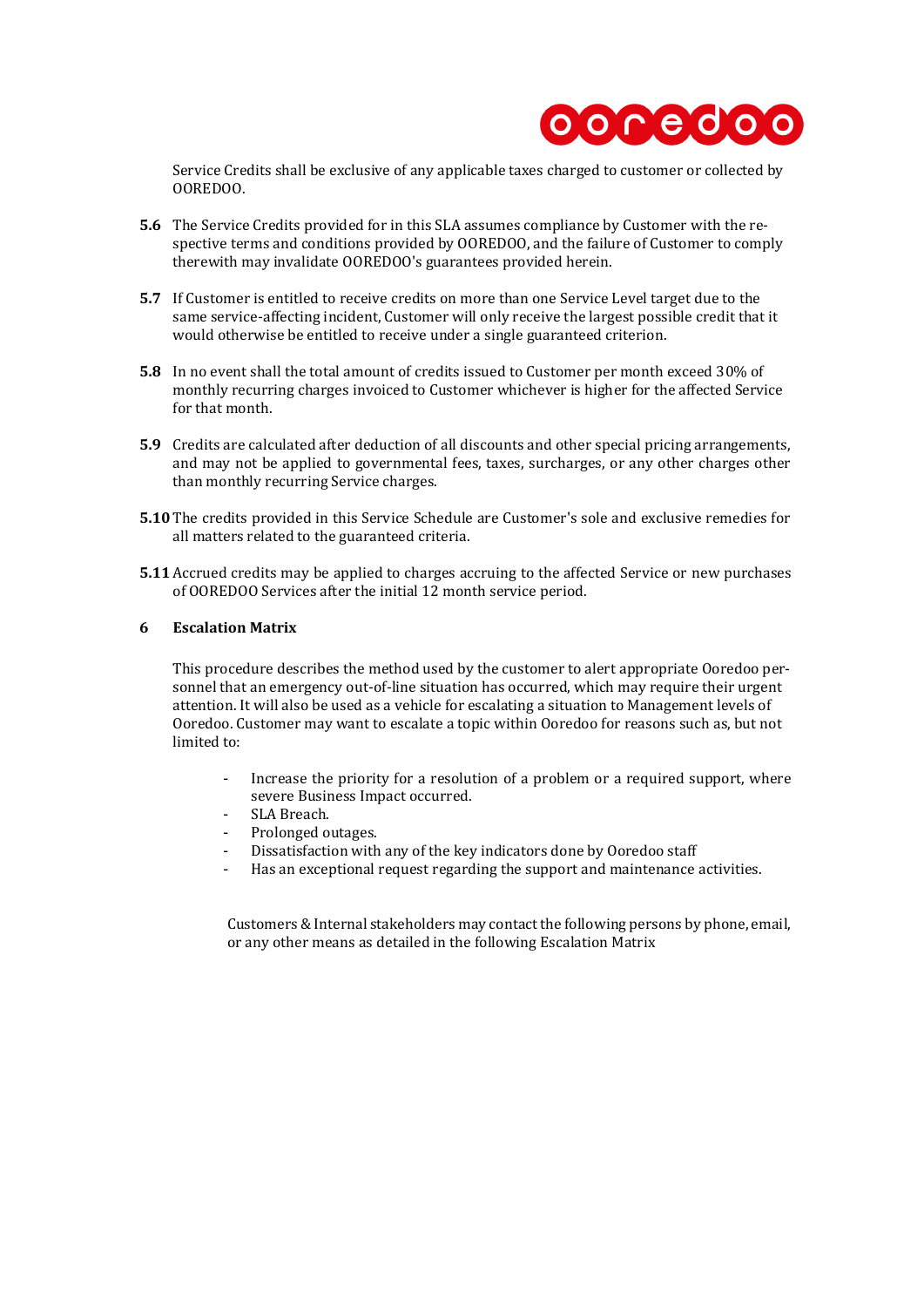

Service Credits shall be exclusive of any applicable taxes charged to customer or collected by OOREDOO.

- **5.6** The Service Credits provided for in this SLA assumes compliance by Customer with the respective terms and conditions provided by OOREDOO, and the failure of Customer to comply therewith may invalidate OOREDOO's guarantees provided herein.
- **5.7** If Customer is entitled to receive credits on more than one Service Level target due to the same service-affecting incident, Customer will only receive the largest possible credit that it would otherwise be entitled to receive under a single guaranteed criterion.
- **5.8** In no event shall the total amount of credits issued to Customer per month exceed 30% of monthly recurring charges invoiced to Customer whichever is higher for the affected Service for that month.
- **5.9** Credits are calculated after deduction of all discounts and other special pricing arrangements, and may not be applied to governmental fees, taxes, surcharges, or any other charges other than monthly recurring Service charges.
- **5.10** The credits provided in this Service Schedule are Customer's sole and exclusive remedies for all matters related to the guaranteed criteria.
- **5.11** Accrued credits may be applied to charges accruing to the affected Service or new purchases of OOREDOO Services after the initial 12 month service period.

#### **6 Escalation Matrix**

This procedure describes the method used by the customer to alert appropriate Ooredoo personnel that an emergency out-of-line situation has occurred, which may require their urgent attention. It will also be used as a vehicle for escalating a situation to Management levels of Ooredoo. Customer may want to escalate a topic within Ooredoo for reasons such as, but not limited to:

- Increase the priority for a resolution of a problem or a required support, where severe Business Impact occurred.
- SLA Breach.
- Prolonged outages.
- Dissatisfaction with any of the key indicators done by Ooredoo staff
- Has an exceptional request regarding the support and maintenance activities.

Customers & Internal stakeholders may contact the following persons by phone, email, or any other means as detailed in the following Escalation Matrix